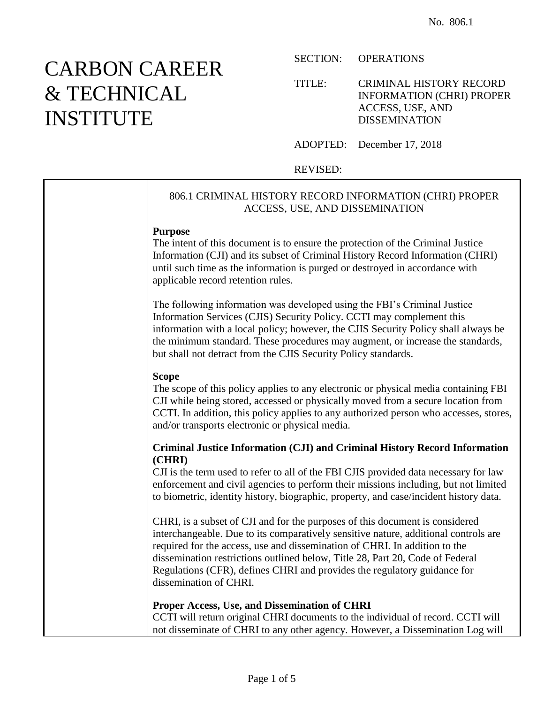# CARBON CAREER & TECHNICAL INSTITUTE

SECTION: OPERATIONS

TITLE: CRIMINAL HISTORY RECORD INFORMATION (CHRI) PROPER ACCESS, USE, AND DISSEMINATION

ADOPTED: December 17, 2018

REVISED:

# 806.1 CRIMINAL HISTORY RECORD INFORMATION (CHRI) PROPER ACCESS, USE, AND DISSEMINATION **Purpose** The intent of this document is to ensure the protection of the Criminal Justice Information (CJI) and its subset of Criminal History Record Information (CHRI) until such time as the information is purged or destroyed in accordance with applicable record retention rules. The following information was developed using the FBI's Criminal Justice Information Services (CJIS) Security Policy. CCTI may complement this information with a local policy; however, the CJIS Security Policy shall always be the minimum standard. These procedures may augment, or increase the standards, but shall not detract from the CJIS Security Policy standards. **Scope** The scope of this policy applies to any electronic or physical media containing FBI CJI while being stored, accessed or physically moved from a secure location from CCTI. In addition, this policy applies to any authorized person who accesses, stores, and/or transports electronic or physical media. **Criminal Justice Information (CJI) and Criminal History Record Information (CHRI)** CJI is the term used to refer to all of the FBI CJIS provided data necessary for law enforcement and civil agencies to perform their missions including, but not limited to biometric, identity history, biographic, property, and case/incident history data. CHRI, is a subset of CJI and for the purposes of this document is considered interchangeable. Due to its comparatively sensitive nature, additional controls are required for the access, use and dissemination of CHRI. In addition to the dissemination restrictions outlined below, Title 28, Part 20, Code of Federal Regulations (CFR), defines CHRI and provides the regulatory guidance for dissemination of CHRI. **Proper Access, Use, and Dissemination of CHRI** CCTI will return original CHRI documents to the individual of record. CCTI will not disseminate of CHRI to any other agency. However, a Dissemination Log will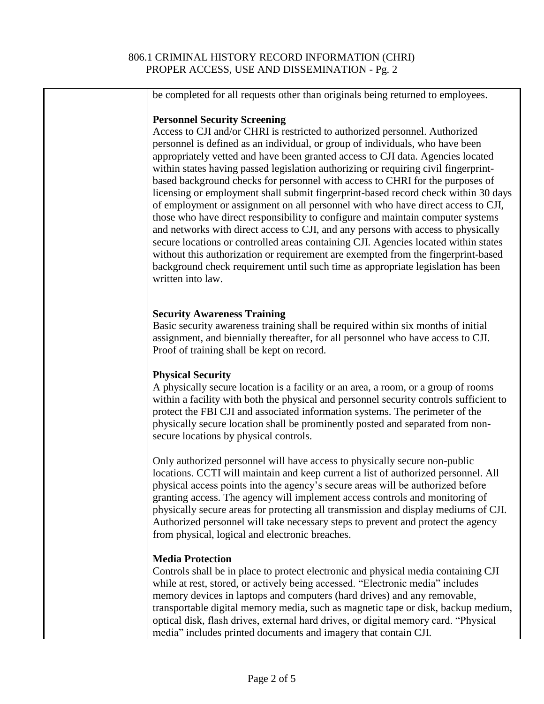#### 806.1 CRIMINAL HISTORY RECORD INFORMATION (CHRI) PROPER ACCESS, USE AND DISSEMINATION - Pg. 2

| be completed for all requests other than originals being returned to employees.                                                                                                                                                                                                                                                                                                                                                                                                                                                                                                                                                                                                                                                                                                                                                                                                                                                                                                                                                                                                                       |
|-------------------------------------------------------------------------------------------------------------------------------------------------------------------------------------------------------------------------------------------------------------------------------------------------------------------------------------------------------------------------------------------------------------------------------------------------------------------------------------------------------------------------------------------------------------------------------------------------------------------------------------------------------------------------------------------------------------------------------------------------------------------------------------------------------------------------------------------------------------------------------------------------------------------------------------------------------------------------------------------------------------------------------------------------------------------------------------------------------|
| <b>Personnel Security Screening</b><br>Access to CJI and/or CHRI is restricted to authorized personnel. Authorized<br>personnel is defined as an individual, or group of individuals, who have been<br>appropriately vetted and have been granted access to CJI data. Agencies located<br>within states having passed legislation authorizing or requiring civil fingerprint-<br>based background checks for personnel with access to CHRI for the purposes of<br>licensing or employment shall submit fingerprint-based record check within 30 days<br>of employment or assignment on all personnel with who have direct access to CJI,<br>those who have direct responsibility to configure and maintain computer systems<br>and networks with direct access to CJI, and any persons with access to physically<br>secure locations or controlled areas containing CJI. Agencies located within states<br>without this authorization or requirement are exempted from the fingerprint-based<br>background check requirement until such time as appropriate legislation has been<br>written into law. |
| <b>Security Awareness Training</b><br>Basic security awareness training shall be required within six months of initial<br>assignment, and biennially thereafter, for all personnel who have access to CJI.<br>Proof of training shall be kept on record.                                                                                                                                                                                                                                                                                                                                                                                                                                                                                                                                                                                                                                                                                                                                                                                                                                              |
| <b>Physical Security</b><br>A physically secure location is a facility or an area, a room, or a group of rooms<br>within a facility with both the physical and personnel security controls sufficient to<br>protect the FBI CJI and associated information systems. The perimeter of the<br>physically secure location shall be prominently posted and separated from non-<br>secure locations by physical controls.                                                                                                                                                                                                                                                                                                                                                                                                                                                                                                                                                                                                                                                                                  |
| Only authorized personnel will have access to physically secure non-public<br>locations. CCTI will maintain and keep current a list of authorized personnel. All<br>physical access points into the agency's secure areas will be authorized before<br>granting access. The agency will implement access controls and monitoring of<br>physically secure areas for protecting all transmission and display mediums of CJI.<br>Authorized personnel will take necessary steps to prevent and protect the agency<br>from physical, logical and electronic breaches.                                                                                                                                                                                                                                                                                                                                                                                                                                                                                                                                     |
| <b>Media Protection</b><br>Controls shall be in place to protect electronic and physical media containing CJI<br>while at rest, stored, or actively being accessed. "Electronic media" includes<br>memory devices in laptops and computers (hard drives) and any removable,<br>transportable digital memory media, such as magnetic tape or disk, backup medium,<br>optical disk, flash drives, external hard drives, or digital memory card. "Physical<br>media" includes printed documents and imagery that contain CJI.                                                                                                                                                                                                                                                                                                                                                                                                                                                                                                                                                                            |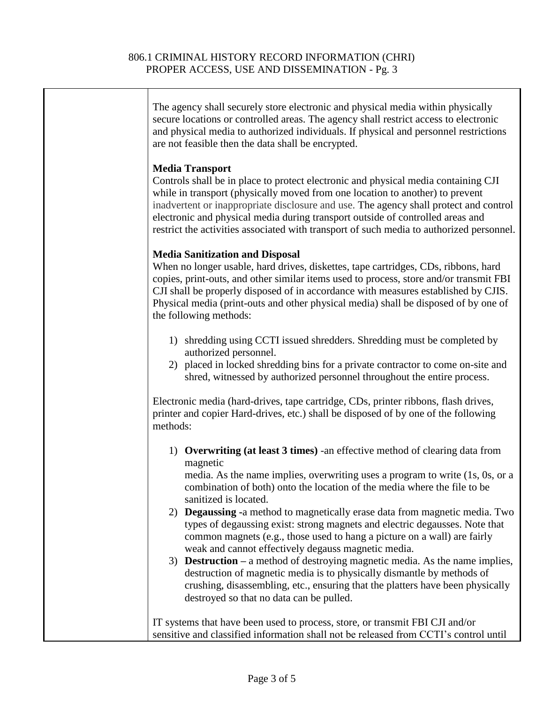| The agency shall securely store electronic and physical media within physically<br>secure locations or controlled areas. The agency shall restrict access to electronic<br>and physical media to authorized individuals. If physical and personnel restrictions<br>are not feasible then the data shall be encrypted.                                                                                                                                                                                                                                                                                                                                                                                                                                                                                                                                                          |
|--------------------------------------------------------------------------------------------------------------------------------------------------------------------------------------------------------------------------------------------------------------------------------------------------------------------------------------------------------------------------------------------------------------------------------------------------------------------------------------------------------------------------------------------------------------------------------------------------------------------------------------------------------------------------------------------------------------------------------------------------------------------------------------------------------------------------------------------------------------------------------|
| <b>Media Transport</b><br>Controls shall be in place to protect electronic and physical media containing CJI<br>while in transport (physically moved from one location to another) to prevent<br>inadvertent or inappropriate disclosure and use. The agency shall protect and control<br>electronic and physical media during transport outside of controlled areas and<br>restrict the activities associated with transport of such media to authorized personnel.                                                                                                                                                                                                                                                                                                                                                                                                           |
| <b>Media Sanitization and Disposal</b><br>When no longer usable, hard drives, diskettes, tape cartridges, CDs, ribbons, hard<br>copies, print-outs, and other similar items used to process, store and/or transmit FBI<br>CJI shall be properly disposed of in accordance with measures established by CJIS.<br>Physical media (print-outs and other physical media) shall be disposed of by one of<br>the following methods:                                                                                                                                                                                                                                                                                                                                                                                                                                                  |
| 1) shredding using CCTI issued shredders. Shredding must be completed by<br>authorized personnel.<br>2) placed in locked shredding bins for a private contractor to come on-site and<br>shred, witnessed by authorized personnel throughout the entire process.                                                                                                                                                                                                                                                                                                                                                                                                                                                                                                                                                                                                                |
| Electronic media (hard-drives, tape cartridge, CDs, printer ribbons, flash drives,<br>printer and copier Hard-drives, etc.) shall be disposed of by one of the following<br>methods:                                                                                                                                                                                                                                                                                                                                                                                                                                                                                                                                                                                                                                                                                           |
| 1) Overwriting (at least 3 times) -an effective method of clearing data from<br>magnetic<br>media. As the name implies, overwriting uses a program to write (1s, 0s, or a<br>combination of both) onto the location of the media where the file to be<br>sanitized is located.<br>2) Degaussing -a method to magnetically erase data from magnetic media. Two<br>types of degaussing exist: strong magnets and electric degausses. Note that<br>common magnets (e.g., those used to hang a picture on a wall) are fairly<br>weak and cannot effectively degauss magnetic media.<br>3) <b>Destruction</b> – a method of destroying magnetic media. As the name implies,<br>destruction of magnetic media is to physically dismantle by methods of<br>crushing, disassembling, etc., ensuring that the platters have been physically<br>destroyed so that no data can be pulled. |
| IT systems that have been used to process, store, or transmit FBI CJI and/or<br>sensitive and classified information shall not be released from CCTI's control until                                                                                                                                                                                                                                                                                                                                                                                                                                                                                                                                                                                                                                                                                                           |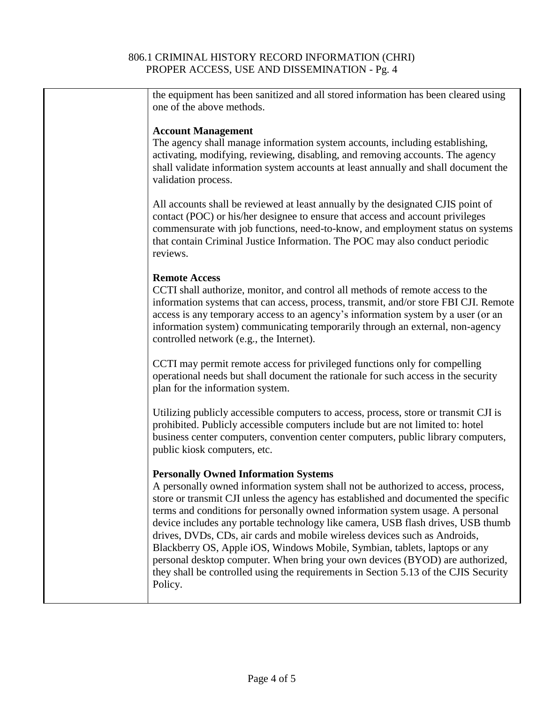## 806.1 CRIMINAL HISTORY RECORD INFORMATION (CHRI) PROPER ACCESS, USE AND DISSEMINATION - Pg. 4

| the equipment has been sanitized and all stored information has been cleared using<br>one of the above methods.                                                                                                                                                                                                                                                                                                                                                                                                                                                                                                                                                                                                                               |
|-----------------------------------------------------------------------------------------------------------------------------------------------------------------------------------------------------------------------------------------------------------------------------------------------------------------------------------------------------------------------------------------------------------------------------------------------------------------------------------------------------------------------------------------------------------------------------------------------------------------------------------------------------------------------------------------------------------------------------------------------|
|                                                                                                                                                                                                                                                                                                                                                                                                                                                                                                                                                                                                                                                                                                                                               |
| <b>Account Management</b><br>The agency shall manage information system accounts, including establishing,<br>activating, modifying, reviewing, disabling, and removing accounts. The agency<br>shall validate information system accounts at least annually and shall document the<br>validation process.                                                                                                                                                                                                                                                                                                                                                                                                                                     |
| All accounts shall be reviewed at least annually by the designated CJIS point of<br>contact (POC) or his/her designee to ensure that access and account privileges<br>commensurate with job functions, need-to-know, and employment status on systems<br>that contain Criminal Justice Information. The POC may also conduct periodic<br>reviews.                                                                                                                                                                                                                                                                                                                                                                                             |
| <b>Remote Access</b><br>CCTI shall authorize, monitor, and control all methods of remote access to the<br>information systems that can access, process, transmit, and/or store FBI CJI. Remote<br>access is any temporary access to an agency's information system by a user (or an<br>information system) communicating temporarily through an external, non-agency<br>controlled network (e.g., the Internet).                                                                                                                                                                                                                                                                                                                              |
| CCTI may permit remote access for privileged functions only for compelling<br>operational needs but shall document the rationale for such access in the security<br>plan for the information system.                                                                                                                                                                                                                                                                                                                                                                                                                                                                                                                                          |
| Utilizing publicly accessible computers to access, process, store or transmit CJI is<br>prohibited. Publicly accessible computers include but are not limited to: hotel<br>business center computers, convention center computers, public library computers,<br>public kiosk computers, etc.                                                                                                                                                                                                                                                                                                                                                                                                                                                  |
| <b>Personally Owned Information Systems</b><br>A personally owned information system shall not be authorized to access, process,<br>store or transmit CJI unless the agency has established and documented the specific<br>terms and conditions for personally owned information system usage. A personal<br>device includes any portable technology like camera, USB flash drives, USB thumb<br>drives, DVDs, CDs, air cards and mobile wireless devices such as Androids,<br>Blackberry OS, Apple iOS, Windows Mobile, Symbian, tablets, laptops or any<br>personal desktop computer. When bring your own devices (BYOD) are authorized,<br>they shall be controlled using the requirements in Section 5.13 of the CJIS Security<br>Policy. |